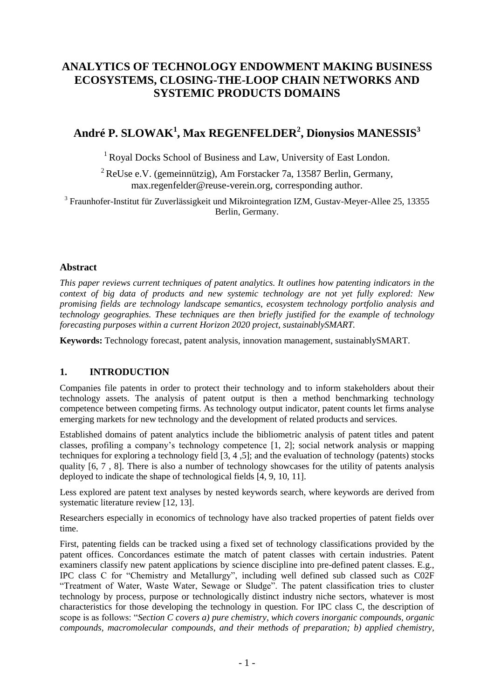## **ANALYTICS OF TECHNOLOGY ENDOWMENT MAKING BUSINESS ECOSYSTEMS, CLOSING-THE-LOOP CHAIN NETWORKS AND SYSTEMIC PRODUCTS DOMAINS**

# **André P. SLOWAK<sup>1</sup> , Max REGENFELDER<sup>2</sup> , Dionysios MANESSIS<sup>3</sup>**

<sup>1</sup> Royal Docks School of Business and Law, University of East London.

<sup>2</sup> ReUse e.V. (gemeinnützig), Am Forstacker 7a, 13587 Berlin, Germany, [max.regenfelder@reuse-verein.org,](mailto:max.regenfelder@reuse-verein.org) corresponding author.

<sup>3</sup> Fraunhofer-Institut für Zuverlässigkeit und Mikrointegration IZM, Gustav-Meyer-Allee 25, 13355 Berlin, Germany.

#### **Abstract**

*This paper reviews current techniques of patent analytics. It outlines how patenting indicators in the context of big data of products and new systemic technology are not yet fully explored: New promising fields are technology landscape semantics, ecosystem technology portfolio analysis and technology geographies. These techniques are then briefly justified for the example of technology forecasting purposes within a current Horizon 2020 project, sustainablySMART.*

**Keywords:** Technology forecast, patent analysis, innovation management, sustainablySMART.

## **1. INTRODUCTION**

Companies file patents in order to protect their technology and to inform stakeholders about their technology assets. The analysis of patent output is then a method benchmarking technology competence between competing firms. As technology output indicator, patent counts let firms analyse emerging markets for new technology and the development of related products and services.

Established domains of patent analytics include the bibliometric analysis of patent titles and patent classes, profiling a company's technology competence [1, 2]; social network analysis or mapping techniques for exploring a technology field [3, 4 ,5]; and the evaluation of technology (patents) stocks quality [6, 7 , 8]. There is also a number of technology showcases for the utility of patents analysis deployed to indicate the shape of technological fields [4, 9, 10, 11].

Less explored are patent text analyses by nested keywords search, where keywords are derived from systematic literature review [12, 13].

Researchers especially in economics of technology have also tracked properties of patent fields over time.

First, patenting fields can be tracked using a fixed set of technology classifications provided by the patent offices. Concordances estimate the match of patent classes with certain industries. Patent examiners classify new patent applications by science discipline into pre-defined patent classes. E.g., IPC class C for "Chemistry and Metallurgy", including well defined sub classed such as C02F "Treatment of Water, Waste Water, Sewage or Sludge". The patent classification tries to cluster technology by process, purpose or technologically distinct industry niche sectors, whatever is most characteristics for those developing the technology in question. For IPC class C, the description of scope is as follows: "*Section C covers a) pure chemistry, which covers inorganic compounds, organic compounds, macromolecular compounds, and their methods of preparation; b) applied chemistry,*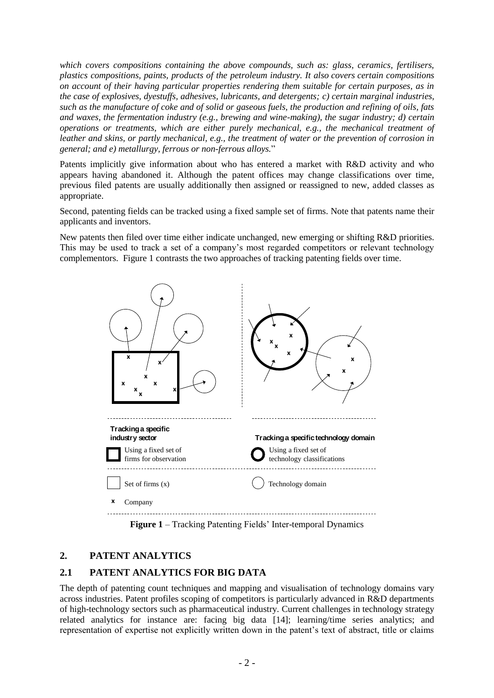*which covers compositions containing the above compounds, such as: glass, ceramics, fertilisers, plastics compositions, paints, products of the petroleum industry. It also covers certain compositions on account of their having particular properties rendering them suitable for certain purposes, as in the case of explosives, dyestuffs, adhesives, lubricants, and detergents; c) certain marginal industries, such as the manufacture of coke and of solid or gaseous fuels, the production and refining of oils, fats and waxes, the fermentation industry (e.g., brewing and wine-making), the sugar industry; d) certain operations or treatments, which are either purely mechanical, e.g., the mechanical treatment of leather and skins, or partly mechanical, e.g., the treatment of water or the prevention of corrosion in general; and e) metallurgy, ferrous or non-ferrous alloys.*"

Patents implicitly give information about who has entered a market with R&D activity and who appears having abandoned it. Although the patent offices may change classifications over time, previous filed patents are usually additionally then assigned or reassigned to new, added classes as appropriate.

Second, patenting fields can be tracked using a fixed sample set of firms. Note that patents name their applicants and inventors.

New patents then filed over time either indicate unchanged, new emerging or shifting R&D priorities. This may be used to track a set of a company's most regarded competitors or relevant technology complementors. Figure 1 contrasts the two approaches of tracking patenting fields over time.



**Figure 1** – Tracking Patenting Fields' Inter-temporal Dynamics

## **2. PATENT ANALYTICS**

## **2.1 PATENT ANALYTICS FOR BIG DATA**

The depth of patenting count techniques and mapping and visualisation of technology domains vary across industries. Patent profiles scoping of competitors is particularly advanced in R&D departments of high-technology sectors such as pharmaceutical industry. Current challenges in technology strategy related analytics for instance are: facing big data [14]; learning/time series analytics; and representation of expertise not explicitly written down in the patent's text of abstract, title or claims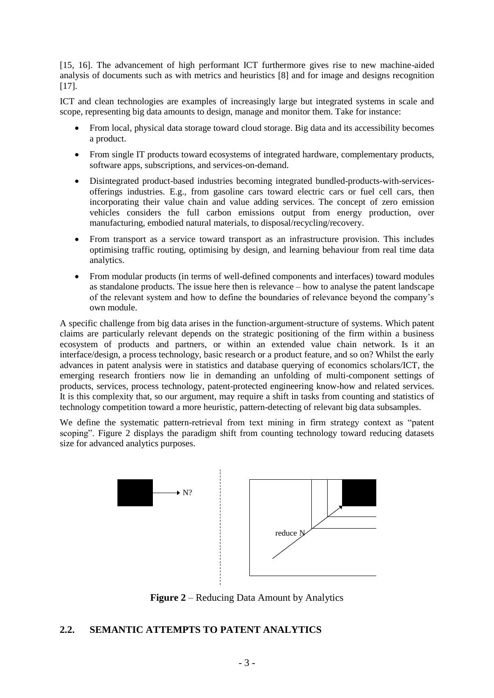[15, 16]. The advancement of high performant ICT furthermore gives rise to new machine-aided analysis of documents such as with metrics and heuristics [8] and for image and designs recognition [17].

ICT and clean technologies are examples of increasingly large but integrated systems in scale and scope, representing big data amounts to design, manage and monitor them. Take for instance:

- From local, physical data storage toward cloud storage. Big data and its accessibility becomes a product.
- From single IT products toward ecosystems of integrated hardware, complementary products, software apps, subscriptions, and services-on-demand.
- Disintegrated product-based industries becoming integrated bundled-products-with-servicesofferings industries. E.g., from gasoline cars toward electric cars or fuel cell cars, then incorporating their value chain and value adding services. The concept of zero emission vehicles considers the full carbon emissions output from energy production, over manufacturing, embodied natural materials, to disposal/recycling/recovery.
- From transport as a service toward transport as an infrastructure provision. This includes optimising traffic routing, optimising by design, and learning behaviour from real time data analytics.
- From modular products (in terms of well-defined components and interfaces) toward modules as standalone products. The issue here then is relevance – how to analyse the patent landscape of the relevant system and how to define the boundaries of relevance beyond the company's own module.

A specific challenge from big data arises in the function-argument-structure of systems. Which patent claims are particularly relevant depends on the strategic positioning of the firm within a business ecosystem of products and partners, or within an extended value chain network. Is it an interface/design, a process technology, basic research or a product feature, and so on? Whilst the early advances in patent analysis were in statistics and database querying of economics scholars/ICT, the emerging research frontiers now lie in demanding an unfolding of multi-component settings of products, services, process technology, patent-protected engineering know-how and related services. It is this complexity that, so our argument, may require a shift in tasks from counting and statistics of technology competition toward a more heuristic, pattern-detecting of relevant big data subsamples.

We define the systematic pattern-retrieval from text mining in firm strategy context as "patent scoping". Figure 2 displays the paradigm shift from counting technology toward reducing datasets size for advanced analytics purposes.



**Figure 2** – Reducing Data Amount by Analytics

#### **2.2. SEMANTIC ATTEMPTS TO PATENT ANALYTICS**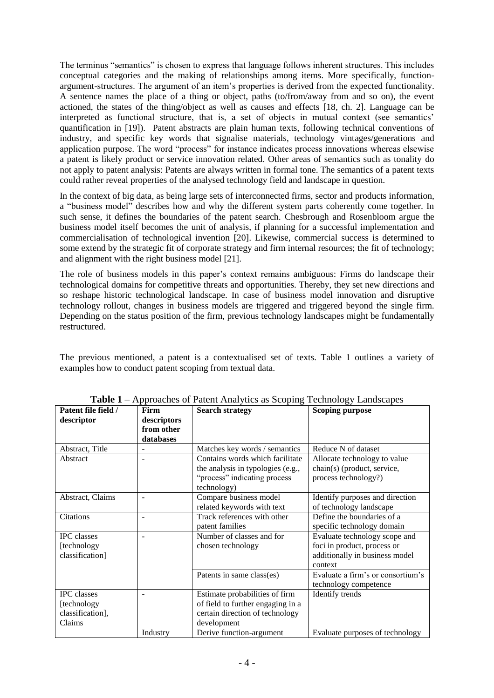The terminus "semantics" is chosen to express that language follows inherent structures. This includes conceptual categories and the making of relationships among items. More specifically, functionargument-structures. The argument of an item's properties is derived from the expected functionality. A sentence names the place of a thing or object, paths (to/from/away from and so on), the event actioned, the states of the thing/object as well as causes and effects [18, ch. 2]. Language can be interpreted as functional structure, that is, a set of objects in mutual context (see semantics' quantification in [19]). Patent abstracts are plain human texts, following technical conventions of industry, and specific key words that signalise materials, technology vintages/generations and application purpose. The word "process" for instance indicates process innovations whereas elsewise a patent is likely product or service innovation related. Other areas of semantics such as tonality do not apply to patent analysis: Patents are always written in formal tone. The semantics of a patent texts could rather reveal properties of the analysed technology field and landscape in question.

In the context of big data, as being large sets of interconnected firms, sector and products information, a "business model" describes how and why the different system parts coherently come together. In such sense, it defines the boundaries of the patent search. Chesbrough and Rosenbloom argue the business model itself becomes the unit of analysis, if planning for a successful implementation and commercialisation of technological invention [20]. Likewise, commercial success is determined to some extend by the strategic fit of corporate strategy and firm internal resources; the fit of technology; and alignment with the right business model [21].

The role of business models in this paper's context remains ambiguous: Firms do landscape their technological domains for competitive threats and opportunities. Thereby, they set new directions and so reshape historic technological landscape. In case of business model innovation and disruptive technology rollout, changes in business models are triggered and triggered beyond the single firm. Depending on the status position of the firm, previous technology landscapes might be fundamentally restructured.

The previous mentioned, a patent is a contextualised set of texts. Table 1 outlines a variety of examples how to conduct patent scoping from textual data.

| Patent file field / | Firm        | $_{\rm{p}}$ $_{\rm{p}}$ $_{\rm{p}}$ $_{\rm{p}}$ $_{\rm{p}}$ $_{\rm{p}}$ $_{\rm{p}}$ $_{\rm{p}}$ $_{\rm{p}}$ $_{\rm{p}}$ $_{\rm{p}}$ $_{\rm{p}}$ $_{\rm{p}}$ $_{\rm{p}}$ $_{\rm{p}}$ $_{\rm{p}}$ $_{\rm{p}}$ $_{\rm{p}}$ $_{\rm{p}}$ $_{\rm{p}}$ $_{\rm{p}}$ $_{\rm{p}}$ $_{\rm{p}}$ $_{\rm{p}}$ $_{\rm{$<br><b>Search strategy</b> | <b>Scoping purpose</b>            |
|---------------------|-------------|------------------------------------------------------------------------------------------------------------------------------------------------------------------------------------------------------------------------------------------------------------------------------------------------------------------------------------|-----------------------------------|
| descriptor          | descriptors |                                                                                                                                                                                                                                                                                                                                    |                                   |
|                     | from other  |                                                                                                                                                                                                                                                                                                                                    |                                   |
|                     | databases   |                                                                                                                                                                                                                                                                                                                                    |                                   |
| Abstract, Title     |             | Matches key words / semantics                                                                                                                                                                                                                                                                                                      | Reduce N of dataset               |
| Abstract            |             | Contains words which facilitate                                                                                                                                                                                                                                                                                                    | Allocate technology to value      |
|                     |             | the analysis in typologies (e.g.,                                                                                                                                                                                                                                                                                                  | chain(s) (product, service,       |
|                     |             | "process" indicating process                                                                                                                                                                                                                                                                                                       | process technology?)              |
|                     |             | technology)                                                                                                                                                                                                                                                                                                                        |                                   |
| Abstract, Claims    | ۰           | Compare business model                                                                                                                                                                                                                                                                                                             | Identify purposes and direction   |
|                     |             | related keywords with text                                                                                                                                                                                                                                                                                                         | of technology landscape           |
| Citations           |             | Track references with other                                                                                                                                                                                                                                                                                                        | Define the boundaries of a        |
|                     |             | patent families                                                                                                                                                                                                                                                                                                                    | specific technology domain        |
| <b>IPC</b> classes  |             | Number of classes and for                                                                                                                                                                                                                                                                                                          | Evaluate technology scope and     |
| [technology         |             | chosen technology                                                                                                                                                                                                                                                                                                                  | foci in product, process or       |
| classification]     |             |                                                                                                                                                                                                                                                                                                                                    | additionally in business model    |
|                     |             |                                                                                                                                                                                                                                                                                                                                    | context                           |
|                     |             | Patents in same class(es)                                                                                                                                                                                                                                                                                                          | Evaluate a firm's or consortium's |
|                     |             |                                                                                                                                                                                                                                                                                                                                    | technology competence             |
| <b>IPC</b> classes  |             | Estimate probabilities of firm                                                                                                                                                                                                                                                                                                     | Identify trends                   |
| [technology         |             | of field to further engaging in a                                                                                                                                                                                                                                                                                                  |                                   |
| classification],    |             | certain direction of technology                                                                                                                                                                                                                                                                                                    |                                   |
| Claims              |             | development                                                                                                                                                                                                                                                                                                                        |                                   |
|                     | Industry    | Derive function-argument                                                                                                                                                                                                                                                                                                           | Evaluate purposes of technology   |

**Table 1** – Approaches of Patent Analytics as Scoping Technology Landscapes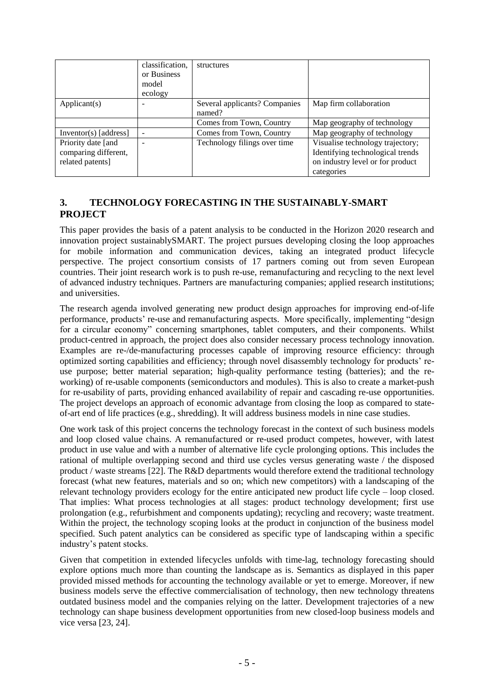|                       | classification, | structures                              |                                  |
|-----------------------|-----------------|-----------------------------------------|----------------------------------|
|                       | or Business     |                                         |                                  |
|                       | model           |                                         |                                  |
|                       | ecology         |                                         |                                  |
| Applicant(s)          |                 | Several applicants? Companies<br>named? | Map firm collaboration           |
|                       |                 | Comes from Town, Country                | Map geography of technology      |
| Inventor(s) [address] |                 | Comes from Town, Country                | Map geography of technology      |
| Priority date [and    |                 | Technology filings over time            | Visualise technology trajectory; |
| comparing different,  |                 |                                         | Identifying technological trends |
| related patents]      |                 |                                         | on industry level or for product |
|                       |                 |                                         | categories                       |

## **3. TECHNOLOGY FORECASTING IN THE SUSTAINABLY-SMART PROJECT**

This paper provides the basis of a patent analysis to be conducted in the Horizon 2020 research and innovation project sustainablySMART. The project pursues developing closing the loop approaches for mobile information and communication devices, taking an integrated product lifecycle perspective. The project consortium consists of 17 partners coming out from seven European countries. Their joint research work is to push re-use, remanufacturing and recycling to the next level of advanced industry techniques. Partners are manufacturing companies; applied research institutions; and universities.

The research agenda involved generating new product design approaches for improving end-of-life performance, products' re-use and remanufacturing aspects. More specifically, implementing "design for a circular economy" concerning smartphones, tablet computers, and their components. Whilst product-centred in approach, the project does also consider necessary process technology innovation. Examples are re-/de-manufacturing processes capable of improving resource efficiency: through optimized sorting capabilities and efficiency; through novel disassembly technology for products' reuse purpose; better material separation; high-quality performance testing (batteries); and the reworking) of re-usable components (semiconductors and modules). This is also to create a market-push for re-usability of parts, providing enhanced availability of repair and cascading re-use opportunities. The project develops an approach of economic advantage from closing the loop as compared to stateof-art end of life practices (e.g., shredding). It will address business models in nine case studies.

One work task of this project concerns the technology forecast in the context of such business models and loop closed value chains. A remanufactured or re-used product competes, however, with latest product in use value and with a number of alternative life cycle prolonging options. This includes the rational of multiple overlapping second and third use cycles versus generating waste / the disposed product / waste streams [22]. The R&D departments would therefore extend the traditional technology forecast (what new features, materials and so on; which new competitors) with a landscaping of the relevant technology providers ecology for the entire anticipated new product life cycle – loop closed. That implies: What process technologies at all stages: product technology development; first use prolongation (e.g., refurbishment and components updating); recycling and recovery; waste treatment. Within the project, the technology scoping looks at the product in conjunction of the business model specified. Such patent analytics can be considered as specific type of landscaping within a specific industry's patent stocks.

Given that competition in extended lifecycles unfolds with time-lag, technology forecasting should explore options much more than counting the landscape as is. Semantics as displayed in this paper provided missed methods for accounting the technology available or yet to emerge. Moreover, if new business models serve the effective commercialisation of technology, then new technology threatens outdated business model and the companies relying on the latter. Development trajectories of a new technology can shape business development opportunities from new closed-loop business models and vice versa [23, 24].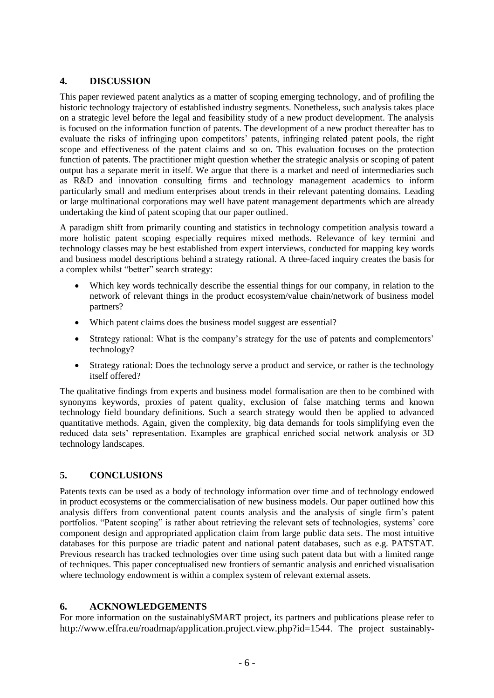## **4. DISCUSSION**

This paper reviewed patent analytics as a matter of scoping emerging technology, and of profiling the historic technology trajectory of established industry segments. Nonetheless, such analysis takes place on a strategic level before the legal and feasibility study of a new product development. The analysis is focused on the information function of patents. The development of a new product thereafter has to evaluate the risks of infringing upon competitors' patents, infringing related patent pools, the right scope and effectiveness of the patent claims and so on. This evaluation focuses on the protection function of patents. The practitioner might question whether the strategic analysis or scoping of patent output has a separate merit in itself. We argue that there is a market and need of intermediaries such as R&D and innovation consulting firms and technology management academics to inform particularly small and medium enterprises about trends in their relevant patenting domains. Leading or large multinational corporations may well have patent management departments which are already undertaking the kind of patent scoping that our paper outlined.

A paradigm shift from primarily counting and statistics in technology competition analysis toward a more holistic patent scoping especially requires mixed methods. Relevance of key termini and technology classes may be best established from expert interviews, conducted for mapping key words and business model descriptions behind a strategy rational. A three-faced inquiry creates the basis for a complex whilst "better" search strategy:

- Which key words technically describe the essential things for our company, in relation to the network of relevant things in the product ecosystem/value chain/network of business model partners?
- Which patent claims does the business model suggest are essential?
- Strategy rational: What is the company's strategy for the use of patents and complementors' technology?
- Strategy rational: Does the technology serve a product and service, or rather is the technology itself offered?

The qualitative findings from experts and business model formalisation are then to be combined with synonyms keywords, proxies of patent quality, exclusion of false matching terms and known technology field boundary definitions. Such a search strategy would then be applied to advanced quantitative methods. Again, given the complexity, big data demands for tools simplifying even the reduced data sets' representation. Examples are graphical enriched social network analysis or 3D technology landscapes.

## **5. CONCLUSIONS**

Patents texts can be used as a body of technology information over time and of technology endowed in product ecosystems or the commercialisation of new business models. Our paper outlined how this analysis differs from conventional patent counts analysis and the analysis of single firm's patent portfolios. "Patent scoping" is rather about retrieving the relevant sets of technologies, systems' core component design and appropriated application claim from large public data sets. The most intuitive databases for this purpose are triadic patent and national patent databases, such as e.g. PATSTAT. Previous research has tracked technologies over time using such patent data but with a limited range of techniques. This paper conceptualised new frontiers of semantic analysis and enriched visualisation where technology endowment is within a complex system of relevant external assets.

## **6. ACKNOWLEDGEMENTS**

For more information on the sustainablySMART project, its partners and publications please refer to <http://www.effra.eu/roadmap/application.project.view.php?id=1544>. The project sustainably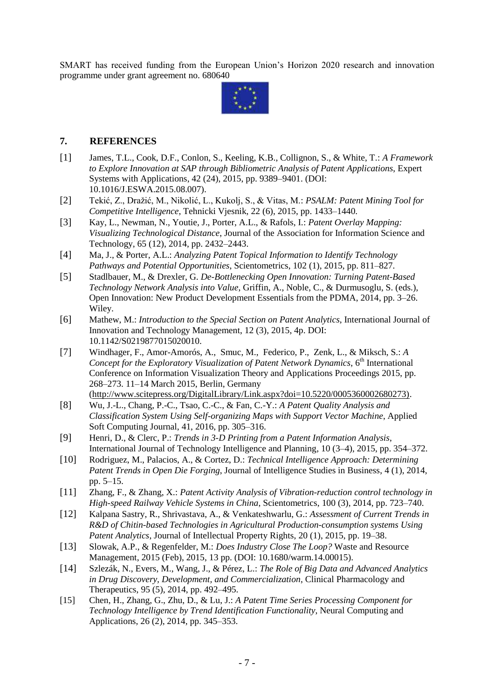SMART has received funding from the European Union's Horizon 2020 research and innovation programme under grant agreement no. 680640



#### **7. REFERENCES**

- [1] James, T.L., Cook, D.F., Conlon, S., Keeling, K.B., Collignon, S., & White, T.: *A Framework to Explore Innovation at SAP through Bibliometric Analysis of Patent Applications*, Expert Systems with Applications, 42 (24), 2015, pp. 9389–9401. (DOI: 10.1016/J.ESWA.2015.08.007).
- [2] Tekić, Z., Dražić, M., Nikolić, L., Kukolj, S., & Vitas, M.: *PSALM: Patent Mining Tool for Competitive Intelligence*, Tehnicki Vjesnik, 22 (6), 2015, pp. 1433–1440.
- [3] Kay, L., Newman, N., Youtie, J., Porter, A.L., & Rafols, I.: *Patent Overlay Mapping: Visualizing Technological Distance*, Journal of the Association for Information Science and Technology, 65 (12), 2014, pp. 2432–2443.
- [4] Ma, J., & Porter, A.L.: *Analyzing Patent Topical Information to Identify Technology Pathways and Potential Opportunities*, Scientometrics, 102 (1), 2015, pp. 811–827.
- [5] Stadlbauer, M., & Drexler, G. *De-Bottlenecking Open Innovation: Turning Patent-Based Technology Network Analysis into Value*, [Griffin,](http://eu.wiley.com/WileyCDA/Section/id-302479.html?query=Abbie+Griffin) A., Noble, [C.,](http://eu.wiley.com/WileyCDA/Section/id-302479.html?query=Charles+Noble) & [Durmusoglu,](http://eu.wiley.com/WileyCDA/Section/id-302479.html?query=Serdar+Durmusoglu) S. (eds.), Open Innovation: New Product Development Essentials from the PDMA, 2014, pp. 3–26. Wiley.
- [6] Mathew, M.: *Introduction to the Special Section on Patent Analytics*, International Journal of Innovation and Technology Management, 12 (3), 2015, 4p. DOI: 10.1142/S0219877015020010.
- [7] Windhager, F., Amor-Amorós, A., Smuc, M., Federico, P., Zenk, L., & Miksch, S.: *A*  Concept for the Exploratory Visualization of Patent Network Dynamics, 6<sup>th</sup> International Conference on Information Visualization Theory and Applications Proceedings 2015, pp. 268–273. 11–14 March 2015, Berlin, Germany [\(http://www.scitepress.org/DigitalLibrary/Link.aspx?doi=10.5220/0005360002680273\).](http://www.scitepress.org/DigitalLibrary/Link.aspx?doi=10.5220/0005360002680273))
- [8] Wu, J.-L., Chang, P.-C., Tsao, C.-C., & Fan, C.-Y.: *A Patent Quality Analysis and Classification System Using Self-organizing Maps with Support Vector Machine*, Applied Soft Computing Journal, 41, 2016, pp. 305–316.
- [9] Henri, D., & Clerc, P.: *Trends in 3-D Printing from a Patent Information Analysis*, International Journal of Technology Intelligence and Planning, 10 (3–4), 2015, pp. 354–372.
- [10] Rodriguez, M., Palacios, A., & Cortez, D.: *Technical Intelligence Approach: Determining Patent Trends in Open Die Forging*, Journal of Intelligence Studies in Business, 4 (1), 2014, pp. 5–15.
- [11] Zhang, F., & Zhang, X.: *Patent Activity Analysis of Vibration-reduction control technology in High-speed Railway Vehicle Systems in China*, Scientometrics, 100 (3), 2014, pp. 723–740.
- [12] Kalpana Sastry, R., Shrivastava, A., & Venkateshwarlu, G.: *Assessment of Current Trends in R&D of Chitin-based Technologies in Agricultural Production-consumption systems Using Patent Analytics*, Journal of Intellectual Property Rights, 20 (1), 2015, pp. 19–38.
- [13] Slowak, A.P., & Regenfelder, M.: *Does Industry Close The Loop?* Waste and Resource Management, 2015 (Feb), 2015, 13 pp. (DOI: 10.1680/warm.14.00015).
- [14] Szlezák, N., Evers, M., Wang, J., & Pérez, L.: *The Role of Big Data and Advanced Analytics in Drug Discovery, Development, and Commercialization*, Clinical Pharmacology and Therapeutics, 95 (5), 2014, pp. 492–495.
- [15] Chen, H., Zhang, G., Zhu, D., & Lu, J.: *A Patent Time Series Processing Component for Technology Intelligence by Trend Identification Functionality*, Neural Computing and Applications, 26 (2), 2014, pp. 345–353.